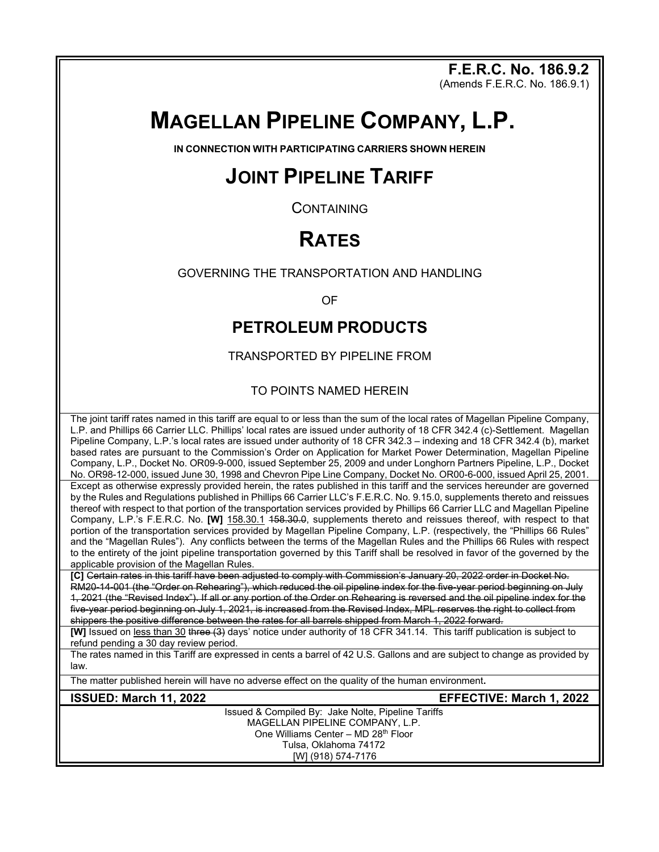**F.E.R.C. No. 186.9.2**

(Amends F.E.R.C. No. 186.9.1)

# **MAGELLAN PIPELINE COMPANY, L.P.**

**IN CONNECTION WITH PARTICIPATING CARRIERS SHOWN HEREIN**

## **JOINT PIPELINE TARIFF**

**CONTAINING** 

## **RATES**

GOVERNING THE TRANSPORTATION AND HANDLING

OF

## **PETROLEUM PRODUCTS**

TRANSPORTED BY PIPELINE FROM

#### TO POINTS NAMED HEREIN

The joint tariff rates named in this tariff are equal to or less than the sum of the local rates of Magellan Pipeline Company, L.P. and Phillips 66 Carrier LLC. Phillips' local rates are issued under authority of 18 CFR 342.4 (c)-Settlement. Magellan Pipeline Company, L.P.'s local rates are issued under authority of 18 CFR 342.3 – indexing and 18 CFR 342.4 (b), market based rates are pursuant to the Commission's Order on Application for Market Power Determination, Magellan Pipeline Company, L.P., Docket No. OR09-9-000, issued September 25, 2009 and under Longhorn Partners Pipeline, L.P., Docket No. OR98-12-000, issued June 30, 1998 and Chevron Pipe Line Company, Docket No. OR00-6-000, issued April 25, 2001. Except as otherwise expressly provided herein, the rates published in this tariff and the services hereunder are governed by the Rules and Regulations published in Phillips 66 Carrier LLC's F.E.R.C. No. 9.15.0, supplements thereto and reissues thereof with respect to that portion of the transportation services provided by Phillips 66 Carrier LLC and Magellan Pipeline Company, L.P.'s F.E.R.C. No. **[W]** 158.30.1 158.30.0, supplements thereto and reissues thereof, with respect to that portion of the transportation services provided by Magellan Pipeline Company, L.P. (respectively, the "Phillips 66 Rules" and the "Magellan Rules"). Any conflicts between the terms of the Magellan Rules and the Phillips 66 Rules with respect to the entirety of the joint pipeline transportation governed by this Tariff shall be resolved in favor of the governed by the applicable provision of the Magellan Rules.

**[C]** Certain rates in this tariff have been adjusted to comply with Commission's January 20, 2022 order in Docket No. RM20-14-001 (the "Order on Rehearing"), which reduced the oil pipeline index for the five-year period beginning on July 1, 2021 (the "Revised Index"). If all or any portion of the Order on Rehearing is reversed and the oil pipeline index for the five year period beginning on July 1, 2021, is increased from the Revised Index, MPL reserves the right to collect from shippers the positive difference between the rates for all barrels shipped from March 1, 2022 forward.

**[W]** Issued on less than 30 three (3) days' notice under authority of 18 CFR 341.14. This tariff publication is subject to refund pending a 30 day review period.

The rates named in this Tariff are expressed in cents a barrel of 42 U.S. Gallons and are subject to change as provided by law.

The matter published herein will have no adverse effect on the quality of the human environment**.**

**ISSUED: March 11, 2022 EFFECTIVE: March 1, 2022**

Issued & Compiled By: Jake Nolte, Pipeline Tariffs MAGELLAN PIPELINE COMPANY, L.P. One Williams Center – MD 28th Floor Tulsa, Oklahoma 74172 [W] (918) 574-7176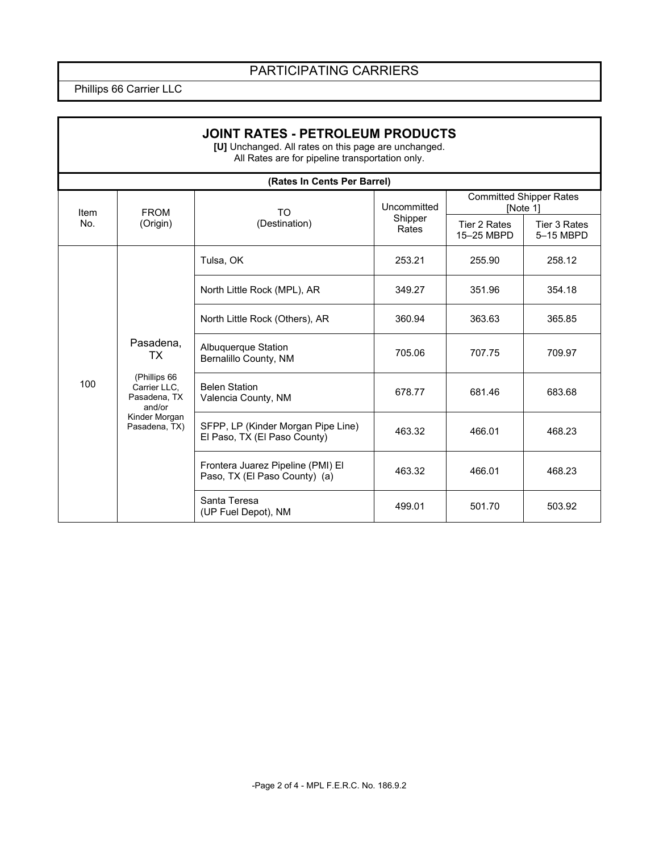### PARTICIPATING CARRIERS

Phillips 66 Carrier LLC

r

| <b>JOINT RATES - PETROLEUM PRODUCTS</b><br>[U] Unchanged. All rates on this page are unchanged.<br>All Rates are for pipeline transportation only. |                                                                                                             |                                                                    |                                 |                                            |                           |  |  |
|----------------------------------------------------------------------------------------------------------------------------------------------------|-------------------------------------------------------------------------------------------------------------|--------------------------------------------------------------------|---------------------------------|--------------------------------------------|---------------------------|--|--|
| (Rates In Cents Per Barrel)                                                                                                                        |                                                                                                             |                                                                    |                                 |                                            |                           |  |  |
| Item                                                                                                                                               | <b>FROM</b><br>(Origin)                                                                                     | TO<br>(Destination)                                                | Uncommitted<br>Shipper<br>Rates | <b>Committed Shipper Rates</b><br>[Note 1] |                           |  |  |
| No.                                                                                                                                                |                                                                                                             |                                                                    |                                 | Tier 2 Rates<br>15-25 MBPD                 | Tier 3 Rates<br>5-15 MBPD |  |  |
|                                                                                                                                                    | Pasadena,<br>TX<br>(Phillips 66<br>Carrier LLC.<br>Pasadena, TX<br>and/or<br>Kinder Morgan<br>Pasadena, TX) | Tulsa, OK                                                          | 253.21                          | 255.90                                     | 258.12                    |  |  |
|                                                                                                                                                    |                                                                                                             | North Little Rock (MPL), AR                                        | 349.27                          | 351.96                                     | 354.18                    |  |  |
|                                                                                                                                                    |                                                                                                             | North Little Rock (Others), AR                                     | 360.94                          | 363.63                                     | 365.85                    |  |  |
|                                                                                                                                                    |                                                                                                             | Albuquerque Station<br>Bernalillo County, NM                       | 705.06                          | 707.75                                     | 709.97                    |  |  |
| 100                                                                                                                                                |                                                                                                             | <b>Belen Station</b><br>Valencia County, NM                        | 678.77                          | 681.46                                     | 683.68                    |  |  |
|                                                                                                                                                    |                                                                                                             | SFPP, LP (Kinder Morgan Pipe Line)<br>El Paso, TX (El Paso County) | 463.32                          | 466.01                                     | 468.23                    |  |  |
|                                                                                                                                                    |                                                                                                             | Frontera Juarez Pipeline (PMI) El<br>Paso, TX (El Paso County) (a) | 463.32                          | 466.01                                     | 468.23                    |  |  |
|                                                                                                                                                    |                                                                                                             | Santa Teresa<br>(UP Fuel Depot), NM                                | 499.01                          | 501.70                                     | 503.92                    |  |  |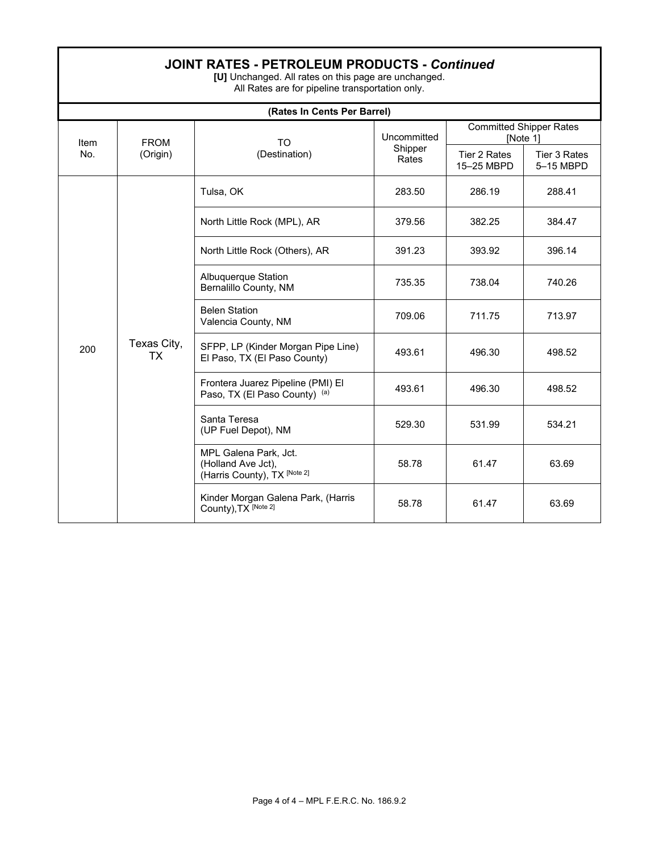|  | <b>JOINT RATES - PETROLEUM PRODUCTS - Continued</b> |  |  |
|--|-----------------------------------------------------|--|--|
|--|-----------------------------------------------------|--|--|

**[U]** Unchanged. All rates on this page are unchanged. All Rates are for pipeline transportation only.

| (Rates In Cents Per Barrel) |                          |                                                                             |                                 |                                            |                           |
|-----------------------------|--------------------------|-----------------------------------------------------------------------------|---------------------------------|--------------------------------------------|---------------------------|
| Item<br>No.                 | <b>FROM</b><br>(Origin)  | <b>TO</b><br>(Destination)                                                  | Uncommitted<br>Shipper<br>Rates | <b>Committed Shipper Rates</b><br>[Note 1] |                           |
|                             |                          |                                                                             |                                 | Tier 2 Rates<br>15-25 MBPD                 | Tier 3 Rates<br>5-15 MBPD |
| 200                         | Texas City,<br><b>TX</b> | Tulsa, OK                                                                   | 283.50                          | 286.19                                     | 288.41                    |
|                             |                          | North Little Rock (MPL), AR                                                 | 379.56                          | 382.25                                     | 384.47                    |
|                             |                          | North Little Rock (Others), AR                                              | 391.23                          | 393.92                                     | 396.14                    |
|                             |                          | Albuquerque Station<br>Bernalillo County, NM                                | 735.35                          | 738.04                                     | 740.26                    |
|                             |                          | <b>Belen Station</b><br>Valencia County, NM                                 | 709.06                          | 711.75                                     | 713.97                    |
|                             |                          | SFPP, LP (Kinder Morgan Pipe Line)<br>El Paso, TX (El Paso County)          | 493.61                          | 496.30                                     | 498.52                    |
|                             |                          | Frontera Juarez Pipeline (PMI) El<br>Paso, TX (El Paso County) (a)          | 493.61                          | 496.30                                     | 498.52                    |
|                             |                          | Santa Teresa<br>(UP Fuel Depot), NM                                         | 529.30                          | 531.99                                     | 534.21                    |
|                             |                          | MPL Galena Park, Jct.<br>(Holland Ave Jct),<br>(Harris County), TX [Note 2] | 58.78                           | 61.47                                      | 63.69                     |
|                             |                          | Kinder Morgan Galena Park, (Harris<br>County), TX [Note 2]                  | 58.78                           | 61.47                                      | 63.69                     |